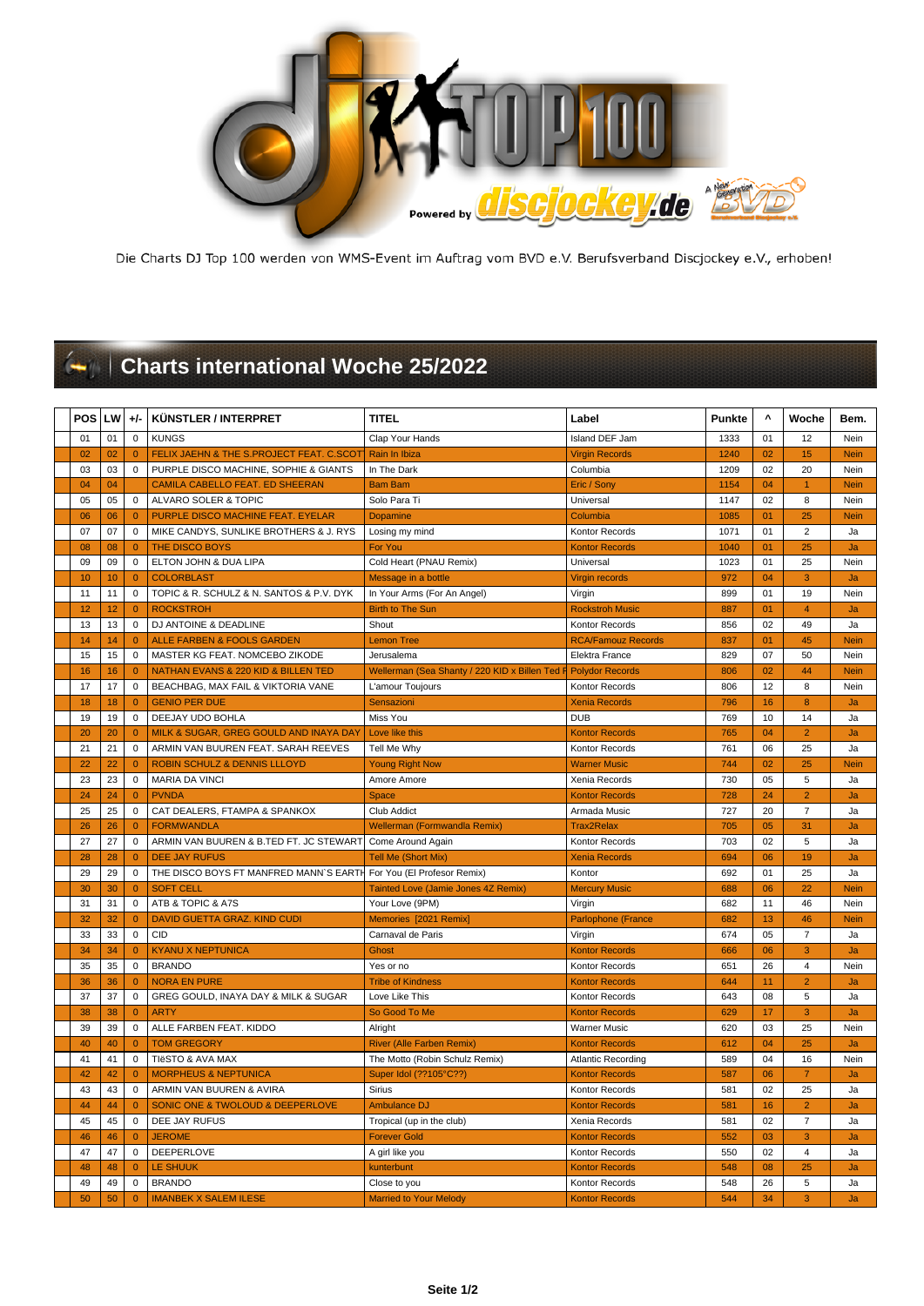

Die Charts DJ Top 100 werden von WMS-Event im Auftrag vom BVD e.V. Berufsverband Discjockey e.V., erhoben!

## **Charts international Woche 25/2022**

| <b>POS</b> | LW | $+/-$          | KÜNSTLER / INTERPRET                            | <b>TITEL</b>                                                   | Label                     | <b>Punkte</b> | $\pmb{\Lambda}$ | Woche                   | Bem.        |
|------------|----|----------------|-------------------------------------------------|----------------------------------------------------------------|---------------------------|---------------|-----------------|-------------------------|-------------|
| 01         | 01 | $\mathbf 0$    | <b>KUNGS</b>                                    | Clap Your Hands                                                | Island DEF Jam            | 1333          | 01              | 12                      | Nein        |
| 02         | 02 | $\mathbf{0}$   | FELIX JAEHN & THE S.PROJECT FEAT. C.SCOT        | Rain In Ibiza                                                  | <b>Virgin Records</b>     | 1240          | 02              | 15                      | <b>Nein</b> |
| 03         | 03 | $\mathbf 0$    | PURPLE DISCO MACHINE, SOPHIE & GIANTS           | In The Dark                                                    | Columbia                  | 1209          | 02              | 20                      | Nein        |
| 04         | 04 |                | <b>CAMILA CABELLO FEAT. ED SHEERAN</b>          | <b>Bam Bam</b>                                                 | Eric / Sony               | 1154          | 04              | 1                       | <b>Nein</b> |
| 05         | 05 | $\Omega$       | ALVARO SOLER & TOPIC                            | Solo Para Ti                                                   | Universal                 | 1147          | 02              | 8                       | Nein        |
| 06         | 06 | $\overline{0}$ | PURPLE DISCO MACHINE FEAT. EYELAR               | <b>Dopamine</b>                                                | Columbia                  | 1085          | 01              | 25                      | <b>Nein</b> |
| 07         | 07 | $\mathbf 0$    | MIKE CANDYS, SUNLIKE BROTHERS & J. RYS          | Losing my mind                                                 | Kontor Records            | 1071          | 01              | $\overline{2}$          | Ja          |
| 08         | 08 | $\Omega$       | <b>THE DISCO BOYS</b>                           | For You                                                        | <b>Kontor Records</b>     | 1040          | 01              | 25                      | Ja          |
| 09         | 09 | $\mathbf 0$    | ELTON JOHN & DUA LIPA                           | Cold Heart (PNAU Remix)                                        | Universal                 | 1023          | 01              | 25                      | Nein        |
| 10         | 10 | $\Omega$       | <b>COLORBLAST</b>                               | Message in a bottle                                            | <b>Virgin records</b>     | 972           | 04              | 3                       | Ja          |
| 11         | 11 | $\mathbf 0$    | TOPIC & R. SCHULZ & N. SANTOS & P.V. DYK        | In Your Arms (For An Angel)                                    | Virgin                    | 899           | 01              | 19                      | Nein        |
| 12         | 12 | $\mathbf{0}$   | <b>ROCKSTROH</b>                                | <b>Birth to The Sun</b>                                        | <b>Rockstroh Music</b>    | 887           | 01              | $\overline{4}$          | Ja          |
| 13         | 13 | $\mathbf 0$    | DJ ANTOINE & DEADLINE                           | Shout                                                          | Kontor Records            | 856           | 02              | 49                      | Ja          |
| 14         | 14 | $\mathbf{0}$   | <b>ALLE FARBEN &amp; FOOLS GARDEN</b>           | <b>Lemon Tree</b>                                              | <b>RCA/Famouz Records</b> | 837           | 01              | 45                      | <b>Nein</b> |
| 15         | 15 | $\mathbf 0$    | MASTER KG FEAT. NOMCEBO ZIKODE                  | Jerusalema                                                     | Elektra France            | 829           | 07              | 50                      | Nein        |
| 16         | 16 | $\overline{0}$ | NATHAN EVANS & 220 KID & BILLEN TED             | Wellerman (Sea Shanty / 220 KID x Billen Ted F Polydor Records |                           | 806           | 02              | 44                      | <b>Nein</b> |
| 17         | 17 | $\mathbf 0$    | BEACHBAG, MAX FAIL & VIKTORIA VANE              | L'amour Toujours                                               | Kontor Records            | 806           | 12              | 8                       | Nein        |
| 18         | 18 | $\mathbf{0}$   | <b>GENIO PER DUE</b>                            | Sensazioni                                                     | <b>Xenia Records</b>      | 796           | 16              | 8                       | Ja          |
| 19         | 19 | $\mathbf 0$    | DEEJAY UDO BOHLA                                | Miss You                                                       | <b>DUB</b>                | 769           | 10              | 14                      | Ja          |
| 20         | 20 | $\Omega$       | MILK & SUGAR, GREG GOULD AND INAYA DAY          | Love like this                                                 | <b>Kontor Records</b>     | 765           | 04              | $\overline{2}$          | Ja          |
| 21         | 21 | $\mathbf 0$    | ARMIN VAN BUUREN FEAT. SARAH REEVES             | Tell Me Why                                                    | Kontor Records            | 761           | 06              | 25                      | Ja          |
| 22         | 22 | $\Omega$       | ROBIN SCHULZ & DENNIS LLLOYD                    | <b>Young Right Now</b>                                         | <b>Warner Music</b>       | 744           | 02              | 25                      | <b>Nein</b> |
| 23         | 23 | $\mathbf 0$    | <b>MARIA DA VINCI</b>                           | Amore Amore                                                    | Xenia Records             | 730           | 05              | 5                       | Ja          |
| 24         | 24 | $\mathbf{0}$   | <b>PVNDA</b>                                    | <b>Space</b>                                                   | <b>Kontor Records</b>     | 728           | 24              | $\overline{2}$          | Ja          |
| 25         | 25 | $\mathbf 0$    | CAT DEALERS, FTAMPA & SPANKOX                   | Club Addict                                                    | Armada Music              | 727           | 20              | $\overline{7}$          | Ja          |
| 26         | 26 | $\mathbf{0}$   | <b>FORMWANDLA</b>                               | Wellerman (Formwandla Remix)                                   | <b>Trax2Relax</b>         | 705           | 05              | 31                      | Ja          |
| 27         | 27 | $\mathbf 0$    | ARMIN VAN BUUREN & B.TED FT. JC STEWART         | Come Around Again                                              | Kontor Records            | 703           | 02              | 5                       | Ja          |
| 28         | 28 | $\mathbf{0}$   | <b>DEE JAY RUFUS</b>                            | <b>Tell Me (Short Mix)</b>                                     | <b>Xenia Records</b>      | 694           | 06              | 19                      | Ja          |
| 29         | 29 | $\Omega$       | THE DISCO BOYS FT MANFRED MANN'S EART           | For You (El Profesor Remix)                                    | Kontor                    | 692           | 01              | 25                      | Ja          |
| 30         | 30 | $\overline{0}$ | <b>SOFT CELL</b>                                | Tainted Love (Jamie Jones 4Z Remix)                            | <b>Mercury Music</b>      | 688           | 06              | 22                      | <b>Nein</b> |
| 31         | 31 | $\mathbf 0$    | ATB & TOPIC & A7S                               | Your Love (9PM)                                                | Virgin                    | 682           | 11              | 46                      | Nein        |
| 32         | 32 | $\Omega$       | DAVID GUETTA GRAZ. KIND CUDI                    | Memories [2021 Remix]                                          | Parlophone (France        | 682           | 13              | 46                      | <b>Nein</b> |
| 33         | 33 | $\mathbf 0$    | <b>CID</b>                                      | Carnaval de Paris                                              | Virgin                    | 674           | 05              | $\overline{7}$          | Ja          |
| 34         | 34 | $\mathbf{0}$   | <b>KYANU X NEPTUNICA</b>                        | <b>Ghost</b>                                                   | <b>Kontor Records</b>     | 666           | 06              | 3                       | Ja          |
| 35         | 35 | $\mathbf 0$    | <b>BRANDO</b>                                   | Yes or no                                                      | Kontor Records            | 651           | 26              | $\overline{\mathbf{4}}$ | Nein        |
| 36         | 36 | $\overline{0}$ | <b>NORA EN PURE</b>                             | <b>Tribe of Kindness</b>                                       | <b>Kontor Records</b>     | 644           | 11              | $\overline{2}$          | Ja          |
| 37         | 37 | $\mathbf 0$    | GREG GOULD, INAYA DAY & MILK & SUGAR            | Love Like This                                                 | Kontor Records            | 643           | 08              | 5                       | Ja          |
| 38         | 38 | $\overline{0}$ | <b>ARTY</b>                                     | So Good To Me                                                  | <b>Kontor Records</b>     | 629           | 17              | $\overline{3}$          | Ja          |
| 39         | 39 | $\mathbf 0$    | ALLE FARBEN FEAT. KIDDO                         | Alright                                                        | Warner Music              | 620           | 03              | 25                      | Nein        |
| 40         | 40 | $\overline{0}$ | <b>TOM GREGORY</b>                              | <b>River (Alle Farben Remix)</b>                               | <b>Kontor Records</b>     | 612           | 04              | 25                      | Ja          |
| 41         | 41 | $\mathbf 0$    | TIëSTO & AVA MAX                                | The Motto (Robin Schulz Remix)                                 | <b>Atlantic Recording</b> | 589           | 04              | 16                      | Nein        |
| 42         | 42 | $\mathbf{0}$   | <b>MORPHEUS &amp; NEPTUNICA</b>                 | Super Idol (??105°C??)                                         | <b>Kontor Records</b>     | 587           | 06              | $\overline{7}$          | Ja          |
| 43         | 43 | $\mathbf 0$    | ARMIN VAN BUUREN & AVIRA                        | Sirius                                                         | Kontor Records            | 581           | 02              | 25                      | Ja          |
| 44         | 44 | $\Omega$       | <b>SONIC ONE &amp; TWOLOUD &amp; DEEPERLOVE</b> | <b>Ambulance DJ</b>                                            | <b>Kontor Records</b>     | 581           | 16              | $\overline{2}$          | Ja          |
| 45         | 45 | $\mathbf 0$    | DEE JAY RUFUS                                   | Tropical (up in the club)                                      | Xenia Records             | 581           | 02              | $\overline{7}$          | Ja          |
| 46         | 46 | $\mathbf{0}$   | <b>JEROME</b>                                   | <b>Forever Gold</b>                                            | <b>Kontor Records</b>     | 552           | 03              | 3                       | Ja          |
| 47         | 47 | $\mathbf 0$    | DEEPERLOVE                                      | A girl like you                                                | Kontor Records            | 550           | 02              | $\overline{4}$          | Ja          |
| 48         | 48 | $\overline{0}$ | <b>LE SHUUK</b>                                 | kunterbunt                                                     | <b>Kontor Records</b>     | 548           | 08              | 25                      | Ja          |
| 49         | 49 | $\mathbf 0$    | <b>BRANDO</b>                                   | Close to you                                                   | Kontor Records            | 548           | 26              | 5                       | Ja          |
| 50         | 50 | $\mathbf{0}$   | <b>IMANBEK X SALEM ILESE</b>                    | <b>Married to Your Melody</b>                                  | <b>Kontor Records</b>     | 544           | 34              | 3                       | Ja          |